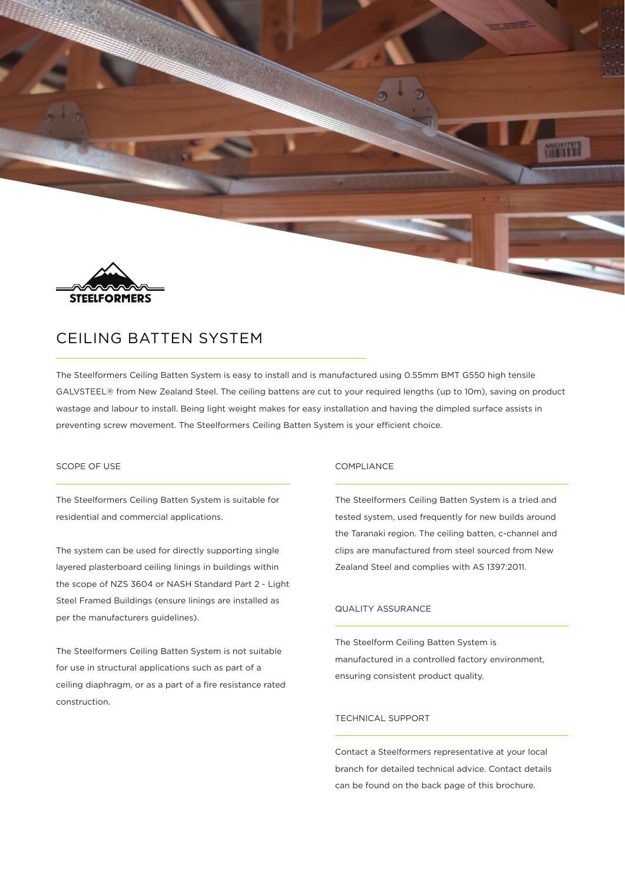

# CEILING BATTEN SYSTEM

The Steelformers Ceiling Batten System is easy to install and is manufactured using 0.55mm BMT G550 high tensile GALVSTEEL® from New Zealand Steel. The ceiling battens are cut to your required lengths (up to 10m), saving on product wastage and labour to install. Being light weight makes for easy installation and having the dimpled surface assists in preventing screw movement. The Steelformers Ceiling Batten System is your efficient choice.

## SCOPE OF USE

The Steelformers Ceiling Batten System is suitable for residential and commercial applications.

The system can be used for directly supporting single layered plasterboard ceiling linings in buildings within the scope of NZS 3604 or NASH Standard Part 2 - Light Steel Framed Buildings (ensure linings are installed as per the manufacturers guidelines).

The Steelformers Ceiling Batten System is not suitable for use in structural applications such as part of a ceiling diaphragm, or as a part of a fire resistance rated construction.

### COMPLIANCE

The Steelformers Ceiling Batten System is a tried and tested system, used frequently for new builds around the Taranaki region. The ceiling batten, c-channel and clips are manufactured from steel sourced from New Zealand Steel and complies with AS 1397:2011.

## QUALITY ASSURANCE

The Steelform Ceiling Batten System is manufactured in a controlled factory environment, ensuring consistent product quality.

## TECHNICAL SUPPORT

Contact a Steelformers representative at your local branch for detailed technical advice. Contact details can be found on the back page of this brochure.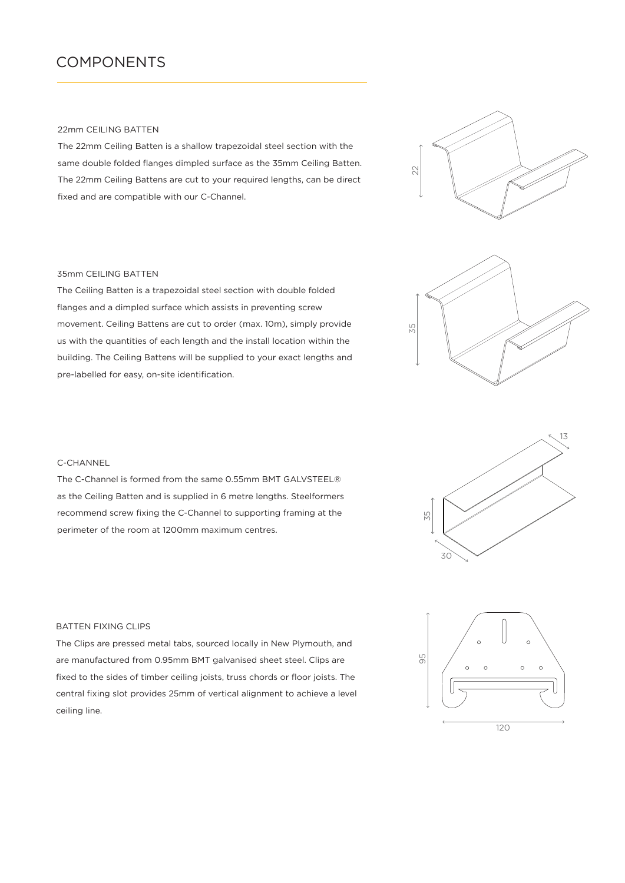## COMPONENTS

### 22mm CEILING BATTEN

The 22mm Ceiling Batten is a shallow trapezoidal steel section with the same double folded flanges dimpled surface as the 35mm Ceiling Batten. The 22mm Ceiling Battens are cut to your required lengths, can be direct fixed and are compatible with our C-Channel.





The Ceiling Batten is a trapezoidal steel section with double folded flanges and a dimpled surface which assists in preventing screw movement. Ceiling Battens are cut to order (max. 10m), simply provide us with the quantities of each length and the install location within the building. The Ceiling Battens will be supplied to your exact lengths and pre-labelled for easy, on-site identification.



### C-CHANNEL

The C-Channel is formed from the same 0.55mm BMT GALVSTEEL® as the Ceiling Batten and is supplied in 6 metre lengths. Steelformers recommend screw fixing the C-Channel to supporting framing at the perimeter of the room at 1200mm maximum centres.



# 95  $\circ$  $\circ$ 120

### BATTEN FIXING CLIPS

The Clips are pressed metal tabs, sourced locally in New Plymouth, and are manufactured from 0.95mm BMT galvanised sheet steel. Clips are fixed to the sides of timber ceiling joists, truss chords or floor joists. The central fixing slot provides 25mm of vertical alignment to achieve a level ceiling line.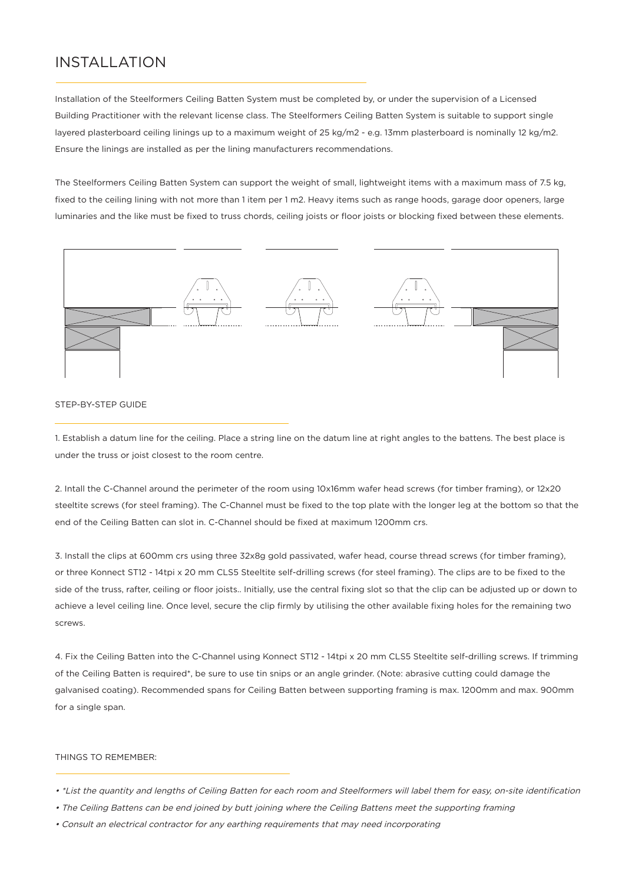# INSTALLATION

Installation of the Steelformers Ceiling Batten System must be completed by, or under the supervision of a Licensed Building Practitioner with the relevant license class. The Steelformers Ceiling Batten System is suitable to support single layered plasterboard ceiling linings up to a maximum weight of 25 kg/m2 - e.g. 13mm plasterboard is nominally 12 kg/m2. Ensure the linings are installed as per the lining manufacturers recommendations.

The Steelformers Ceiling Batten System can support the weight of small, lightweight items with a maximum mass of 7.5 kg, fixed to the ceiling lining with not more than 1 item per 1 m2. Heavy items such as range hoods, garage door openers, large luminaries and the like must be fixed to truss chords, ceiling joists or floor joists or blocking fixed between these elements.



### STEP-BY-STEP GUIDE

1. Establish a datum line for the ceiling. Place a string line on the datum line at right angles to the battens. The best place is under the truss or joist closest to the room centre.

2. Intall the C-Channel around the perimeter of the room using 10x16mm wafer head screws (for timber framing), or 12x20 steeltite screws (for steel framing). The C-Channel must be fixed to the top plate with the longer leg at the bottom so that the end of the Ceiling Batten can slot in. C-Channel should be fixed at maximum 1200mm crs.

3. Install the clips at 600mm crs using three 32x8g gold passivated, wafer head, course thread screws (for timber framing), or three Konnect ST12 - 14tpi x 20 mm CLS5 Steeltite self-drilling screws (for steel framing). The clips are to be fixed to the side of the truss, rafter, ceiling or floor joists.. Initially, use the central fixing slot so that the clip can be adjusted up or down to achieve a level ceiling line. Once level, secure the clip firmly by utilising the other available fixing holes for the remaining two screws.

4. Fix the Ceiling Batten into the C-Channel using Konnect ST12 - 14tpi x 20 mm CLS5 Steeltite self-drilling screws. If trimming of the Ceiling Batten is required\*, be sure to use tin snips or an angle grinder. (Note: abrasive cutting could damage the galvanised coating). Recommended spans for Ceiling Batten between supporting framing is max. 1200mm and max. 900mm for a single span.

### THINGS TO REMEMBER:

- \*List the quantity and lengths of Ceiling Batten for each room and Steelformers will label them for easy, on-site identification
- The Ceiling Battens can be end joined by butt joining where the Ceiling Battens meet the supporting framing
- Consult an electrical contractor for any earthing requirements that may need incorporating